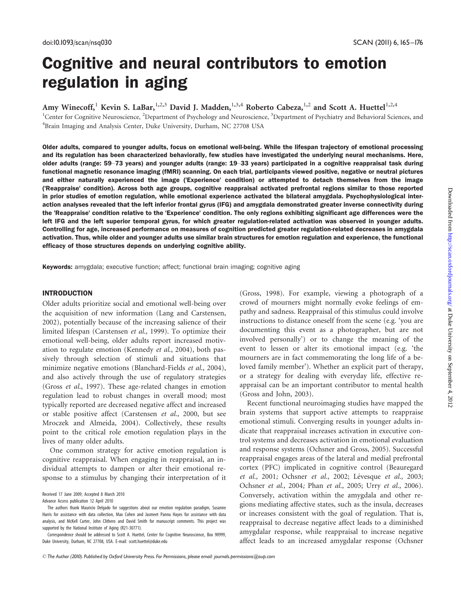# Cognitive and neural contributors to emotion regulation in aging

# Amy Winecoff,<sup>1</sup> Kevin S. LaBar,<sup>1,2,3</sup> David J. Madden,<sup>1,3,4</sup> Roberto Cabeza,<sup>1,2</sup> and Scott A. Huettel<sup>1,2,4</sup>

<sup>1</sup>Center for Cognitive Neuroscience, <sup>2</sup>Department of Psychology and Neuroscience, <sup>3</sup>Department of Psychiatry and Behavioral Sciences, and 4 Brain Imaging and Analysis Center, Duke University, Durham, NC 27708 USA

Older adults, compared to younger adults, focus on emotional well-being. While the lifespan trajectory of emotional processing and its regulation has been characterized behaviorally, few studies have investigated the underlying neural mechanisms. Here, older adults (range: 59–73 years) and younger adults (range: 19–33 years) participated in a cognitive reappraisal task during functional magnetic resonance imaging (fMRI) scanning. On each trial, participants viewed positive, negative or neutral pictures and either naturally experienced the image ('Experience' condition) or attempted to detach themselves from the image ('Reappraise' condition). Across both age groups, cognitive reappraisal activated prefrontal regions similar to those reported in prior studies of emotion regulation, while emotional experience activated the bilateral amygdala. Psychophysiological interaction analyses revealed that the left inferior frontal gyrus (IFG) and amygdala demonstrated greater inverse connectivity during the 'Reappraise' condition relative to the 'Experience' condition. The only regions exhibiting significant age differences were the left IFG and the left superior temporal gyrus, for which greater regulation-related activation was observed in younger adults. Controlling for age, increased performance on measures of cognition predicted greater regulation-related decreases in amygdala activation. Thus, while older and younger adults use similar brain structures for emotion regulation and experience, the functional efficacy of those structures depends on underlying cognitive ability.

Keywords: amygdala; executive function; affect; functional brain imaging; cognitive aging

#### INTRODUCTION

Older adults prioritize social and emotional well-being over the acquisition of new information (Lang and Carstensen, 2002), potentially because of the increasing salience of their limited lifespan (Carstensen et al., 1999). To optimize their emotional well-being, older adults report increased motivation to regulate emotion (Kennedy et al., 2004), both passively through selection of stimuli and situations that minimize negative emotions (Blanchard-Fields et al., 2004), and also actively through the use of regulatory strategies (Gross et al., 1997). These age-related changes in emotion regulation lead to robust changes in overall mood; most typically reported are decreased negative affect and increased or stable positive affect (Carstensen et al., 2000, but see Mroczek and Almeida, 2004). Collectively, these results point to the critical role emotion regulation plays in the lives of many older adults.

One common strategy for active emotion regulation is cognitive reappraisal. When engaging in reappraisal, an individual attempts to dampen or alter their emotional response to a stimulus by changing their interpretation of it

Received 17 June 2009; Accepted 8 March 2010

Advance Access publication 12 April 2010

(Gross, 1998). For example, viewing a photograph of a crowd of mourners might normally evoke feelings of empathy and sadness. Reappraisal of this stimulus could involve instructions to distance oneself from the scene (e.g. 'you are documenting this event as a photographer, but are not involved personally') or to change the meaning of the event to lessen or alter its emotional impact (e.g. 'the mourners are in fact commemorating the long life of a beloved family member'). Whether an explicit part of therapy, or a strategy for dealing with everyday life, effective reappraisal can be an important contributor to mental health (Gross and John, 2003).

Recent functional neuroimaging studies have mapped the brain systems that support active attempts to reappraise emotional stimuli. Converging results in younger adults indicate that reappraisal increases activation in executive control systems and decreases activation in emotional evaluation and response systems (Ochsner and Gross, 2005). Successful reappraisal engages areas of the lateral and medial prefrontal cortex (PFC) implicated in cognitive control (Beauregard et al., 2001; Ochsner et al., 2002; Lévesque et al., 2003; Ochsner et al., 2004; Phan et al., 2005; Urry et al., 2006). Conversely, activation within the amygdala and other regions mediating affective states, such as the insula, decreases or increases consistent with the goal of regulation. That is, reappraisal to decrease negative affect leads to a diminished amygdalar response, while reappraisal to increase negative affect leads to an increased amygdalar response (Ochsner

The authors thank Mauricio Delgado for suggestions about our emotion regulation paradigm, Susanne Harris for assistance with data collection, Max Cohen and Jasmeet Pannu Hayes for assistance with data analysis, and McKell Carter, John Clithero and David Smith for manuscript comments. This project was supported by the National Institute of Aging (R21-30771).

Correspondence should be addressed to Scott A. Huettel, Center for Cognitive Neuroscience, Box 90999, Duke University, Durham, NC 27708, USA. E-mail: scott.huettel@duke.edu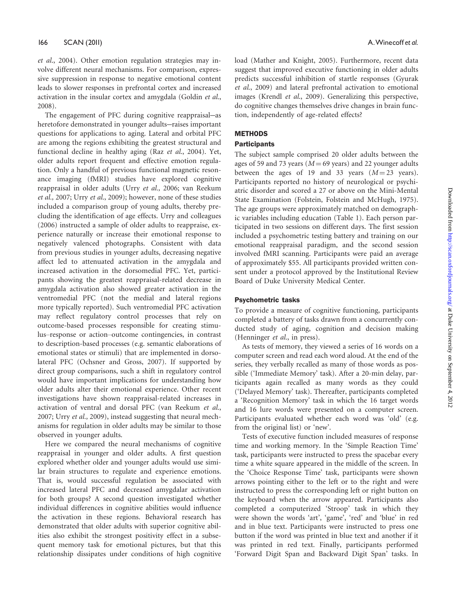et al., 2004). Other emotion regulation strategies may involve different neural mechanisms. For comparison, expressive suppression in response to negative emotional content leads to slower responses in prefrontal cortex and increased activation in the insular cortex and amygdala (Goldin et al., 2008).

The engagement of PFC during cognitive reappraisal-as heretofore demonstrated in younger adults-raises important questions for applications to aging. Lateral and orbital PFC are among the regions exhibiting the greatest structural and functional decline in healthy aging (Raz et al., 2004). Yet, older adults report frequent and effective emotion regulation. Only a handful of previous functional magnetic resonance imaging (fMRI) studies have explored cognitive reappraisal in older adults (Urry et al., 2006; van Reekum et al., 2007; Urry et al., 2009); however, none of these studies included a comparison group of young adults, thereby precluding the identification of age effects. Urry and colleagues (2006) instructed a sample of older adults to reappraise, experience naturally or increase their emotional response to negatively valenced photographs. Consistent with data from previous studies in younger adults, decreasing negative affect led to attenuated activation in the amygdala and increased activation in the dorsomedial PFC. Yet, participants showing the greatest reappraisal-related decrease in amygdala activation also showed greater activation in the ventromedial PFC (not the medial and lateral regions more typically reported). Such ventromedial PFC activation may reflect regulatory control processes that rely on outcome-based processes responsible for creating stimulus–response or action–outcome contingencies, in contrast to description-based processes (e.g. semantic elaborations of emotional states or stimuli) that are implemented in dorsolateral PFC (Ochsner and Gross, 2007). If supported by direct group comparisons, such a shift in regulatory control would have important implications for understanding how older adults alter their emotional experience. Other recent investigations have shown reappraisal-related increases in activation of ventral and dorsal PFC (van Reekum et al., 2007; Urry et al., 2009), instead suggesting that neural mechanisms for regulation in older adults may be similar to those observed in younger adults.

Here we compared the neural mechanisms of cognitive reappraisal in younger and older adults. A first question explored whether older and younger adults would use similar brain structures to regulate and experience emotions. That is, would successful regulation be associated with increased lateral PFC and decreased amygdalar activation for both groups? A second question investigated whether individual differences in cognitive abilities would influence the activation in these regions. Behavioral research has demonstrated that older adults with superior cognitive abilities also exhibit the strongest positivity effect in a subsequent memory task for emotional pictures, but that this relationship dissipates under conditions of high cognitive

load (Mather and Knight, 2005). Furthermore, recent data suggest that improved executive functioning in older adults predicts successful inhibition of startle responses (Gyurak et al., 2009) and lateral prefrontal activation to emotional images (Krendl et al., 2009). Generalizing this perspective, do cognitive changes themselves drive changes in brain function, independently of age-related effects?

## **METHODS**

### **Participants**

The subject sample comprised 20 older adults between the ages of 59 and 73 years ( $M = 69$  years) and 22 younger adults between the ages of 19 and 33 years  $(M = 23$  years). Participants reported no history of neurological or psychiatric disorder and scored a 27 or above on the Mini-Mental State Examination (Folstein, Folstein and McHugh, 1975). The age groups were approximately matched on demographic variables including education (Table 1). Each person participated in two sessions on different days. The first session included a psychometric testing battery and training on our emotional reappraisal paradigm, and the second session involved fMRI scanning. Participants were paid an average of approximately \$55. All participants provided written consent under a protocol approved by the Institutional Review Board of Duke University Medical Center.

#### Psychometric tasks

To provide a measure of cognitive functioning, participants completed a battery of tasks drawn from a concurrently conducted study of aging, cognition and decision making (Henninger et al., in press).

As tests of memory, they viewed a series of 16 words on a computer screen and read each word aloud. At the end of the series, they verbally recalled as many of those words as possible ('Immediate Memory' task). After a 20-min delay, participants again recalled as many words as they could ('Delayed Memory' task). Thereafter, participants completed a 'Recognition Memory' task in which the 16 target words and 16 lure words were presented on a computer screen. Participants evaluated whether each word was 'old' (e.g. from the original list) or 'new'.

Tests of executive function included measures of response time and working memory. In the 'Simple Reaction Time' task, participants were instructed to press the spacebar every time a white square appeared in the middle of the screen. In the 'Choice Response Time' task, participants were shown arrows pointing either to the left or to the right and were instructed to press the corresponding left or right button on the keyboard when the arrow appeared. Participants also completed a computerized 'Stroop' task in which they were shown the words 'art', 'game', 'red' and 'blue' in red and in blue text. Participants were instructed to press one button if the word was printed in blue text and another if it was printed in red text. Finally, participants performed 'Forward Digit Span and Backward Digit Span' tasks. In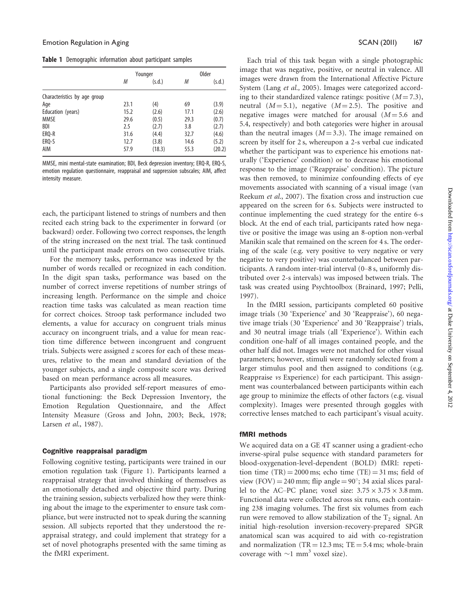Table 1 Demographic information about participant samples

|                              |      | Younger |      | <b>Older</b> |  |  |
|------------------------------|------|---------|------|--------------|--|--|
|                              | М    | (s.d.)  | М    | (s.d.)       |  |  |
| Characteristics by age group |      |         |      |              |  |  |
| Age                          | 23.1 | (4)     | 69   | (3.9)        |  |  |
| Education (years)            | 15.2 | (2.6)   | 17.1 | (2.6)        |  |  |
| <b>MMSE</b>                  | 29.6 | (0.5)   | 29.3 | (0.7)        |  |  |
| BDI                          | 2.5  | (2.7)   | 3.8  | (2.7)        |  |  |
| ERQ-R                        | 31.6 | (4.4)   | 32.7 | (4.6)        |  |  |
| ERQ-S                        | 12.7 | (3.8)   | 14.6 | (5.2)        |  |  |
| AIM                          | 57.9 | (18.3)  | 55.3 | (20.2)       |  |  |

MMSE, mini mental-state examination; BDI, Beck depression inventory; ERQ-R, ERQ-S, emotion regulation questionnaire, reappraisal and suppression subscales; AIM, affect intensity measure.

each, the participant listened to strings of numbers and then recited each string back to the experimenter in forward (or backward) order. Following two correct responses, the length of the string increased on the next trial. The task continued until the participant made errors on two consecutive trials.

For the memory tasks, performance was indexed by the number of words recalled or recognized in each condition. In the digit span tasks, performance was based on the number of correct inverse repetitions of number strings of increasing length. Performance on the simple and choice reaction time tasks was calculated as mean reaction time for correct choices. Stroop task performance included two elements, a value for accuracy on congruent trials minus accuracy on incongruent trials, and a value for mean reaction time difference between incongruent and congruent trials. Subjects were assigned z scores for each of these measures, relative to the mean and standard deviation of the younger subjects, and a single composite score was derived based on mean performance across all measures.

Participants also provided self-report measures of emotional functioning: the Beck Depression Inventory, the Emotion Regulation Questionnaire, and the Affect Intensity Measure (Gross and John, 2003; Beck, 1978; Larsen et al., 1987).

#### Cognitive reappraisal paradigm

Following cognitive testing, participants were trained in our emotion regulation task (Figure 1). Participants learned a reappraisal strategy that involved thinking of themselves as an emotionally detached and objective third party. During the training session, subjects verbalized how they were thinking about the image to the experimenter to ensure task compliance, but were instructed not to speak during the scanning session. All subjects reported that they understood the reappraisal strategy, and could implement that strategy for a set of novel photographs presented with the same timing as the fMRI experiment.

Each trial of this task began with a single photographic image that was negative, positive, or neutral in valence. All images were drawn from the International Affective Picture System (Lang et al., 2005). Images were categorized according to their standardized valence ratings: positive  $(M = 7.3)$ , neutral  $(M = 5.1)$ , negative  $(M = 2.5)$ . The positive and negative images were matched for arousal  $(M = 5.6$  and 5.4, respectively) and both categories were higher in arousal than the neutral images  $(M = 3.3)$ . The image remained on screen by itself for 2 s, whereupon a 2-s verbal cue indicated whether the participant was to experience his emotions naturally ('Experience' condition) or to decrease his emotional response to the image ('Reappraise' condition). The picture was then removed, to minimize confounding effects of eye movements associated with scanning of a visual image (van Reekum et al., 2007). The fixation cross and instruction cue appeared on the screen for 6 s. Subjects were instructed to continue implementing the cued strategy for the entire 6-s block. At the end of each trial, participants rated how negative or positive the image was using an 8-option non-verbal Manikin scale that remained on the screen for 4 s. The ordering of the scale (e.g. very positive to very negative or very negative to very positive) was counterbalanced between participants. A random inter-trial interval (0–8 s, uniformly distributed over 2-s intervals) was imposed between trials. The task was created using Psychtoolbox (Brainard, 1997; Pelli, 1997).

In the fMRI session, participants completed 60 positive image trials (30 'Experience' and 30 'Reappraise'), 60 negative image trials (30 'Experience' and 30 'Reappraise') trials, and 30 neutral image trials (all 'Experience'). Within each condition one-half of all images contained people, and the other half did not. Images were not matched for other visual parameters; however, stimuli were randomly selected from a larger stimulus pool and then assigned to conditions (e.g. Reappraise vs Experience) for each participant. This assignment was counterbalanced between participants within each age group to minimize the effects of other factors (e.g. visual complexity). Images were presented through goggles with corrective lenses matched to each participant's visual acuity.

## fMRI methods

We acquired data on a GE 4T scanner using a gradient-echo inverse-spiral pulse sequence with standard parameters for blood-oxygenation-level-dependent (BOLD) fMRI: repetition time  $(TR) = 2000$  ms; echo time  $(TE) = 31$  ms; field of view (FOV) = 240 mm; flip angle =  $90^{\circ}$ ; 34 axial slices parallel to the AC–PC plane; voxel size:  $3.75 \times 3.75 \times 3.8$  mm. Functional data were collected across six runs, each containing 238 imaging volumes. The first six volumes from each run were removed to allow stabilization of the  $T_2$  signal. An initial high-resolution inversion-recovery-prepared SPGR anatomical scan was acquired to aid with co-registration and normalization (TR = 12.3 ms; TE = 5.4 ms; whole-brain coverage with  $\sim$ 1 mm<sup>3</sup> voxel size).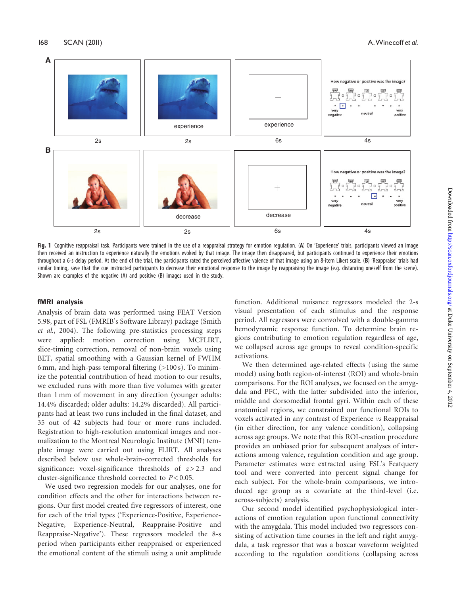

Fig. 1 Cognitive reappraisal task. Participants were trained in the use of a reappraisal strategy for emotion regulation. (A) On 'Experience' trials, participants viewed an image then received an instruction to experience naturally the emotions evoked by that image. The image then disappeared, but participants continued to experience their emotions throughout a 6-s delay period. At the end of the trial, the participants rated the perceived affective valence of that image using an 8-item Likert scale. (B) 'Reappraise' trials had similar timing, save that the cue instructed participants to decrease their emotional response to the image by reappraising the image (e.g. distancing oneself from the scene). Shown are examples of the negative (A) and positive (B) images used in the study.

#### fMRI analysis

Analysis of brain data was performed using FEAT Version 5.98, part of FSL (FMRIB's Software Library) package (Smith et al., 2004). The following pre-statistics processing steps were applied: motion correction using MCFLIRT, slice-timing correction, removal of non-brain voxels using BET, spatial smoothing with a Gaussian kernel of FWHM 6 mm, and high-pass temporal filtering  $(>100 s)$ . To minimize the potential contribution of head motion to our results, we excluded runs with more than five volumes with greater than 1 mm of movement in any direction (younger adults: 14.4% discarded; older adults: 14.2% discarded). All participants had at least two runs included in the final dataset, and 35 out of 42 subjects had four or more runs included. Registration to high-resolution anatomical images and normalization to the Montreal Neurologic Institute (MNI) template image were carried out using FLIRT. All analyses described below use whole-brain-corrected thresholds for significance: voxel-significance thresholds of  $z > 2.3$  and cluster-significance threshold corrected to  $P < 0.05$ .

We used two regression models for our analyses, one for condition effects and the other for interactions between regions. Our first model created five regressors of interest, one for each of the trial types ('Experience-Positive, Experience-Negative, Experience-Neutral, Reappraise-Positive and Reappraise-Negative'). These regressors modeled the 8-s period when participants either reappraised or experienced the emotional content of the stimuli using a unit amplitude

function. Additional nuisance regressors modeled the 2-s visual presentation of each stimulus and the response period. All regressors were convolved with a double-gamma hemodynamic response function. To determine brain regions contributing to emotion regulation regardless of age, we collapsed across age groups to reveal condition-specific activations.

We then determined age-related effects (using the same model) using both region-of-interest (ROI) and whole-brain comparisons. For the ROI analyses, we focused on the amygdala and PFC, with the latter subdivided into the inferior, middle and dorsomedial frontal gyri. Within each of these anatomical regions, we constrained our functional ROIs to voxels activated in any contrast of Experience vs Reappraisal (in either direction, for any valence condition), collapsing across age groups. We note that this ROI-creation procedure provides an unbiased prior for subsequent analyses of interactions among valence, regulation condition and age group. Parameter estimates were extracted using FSL's Featquery tool and were converted into percent signal change for each subject. For the whole-brain comparisons, we introduced age group as a covariate at the third-level (i.e. across-subjects) analysis.

Our second model identified psychophysiological interactions of emotion regulation upon functional connectivity with the amygdala. This model included two regressors consisting of activation time courses in the left and right amygdala, a task regressor that was a boxcar waveform weighted according to the regulation conditions (collapsing across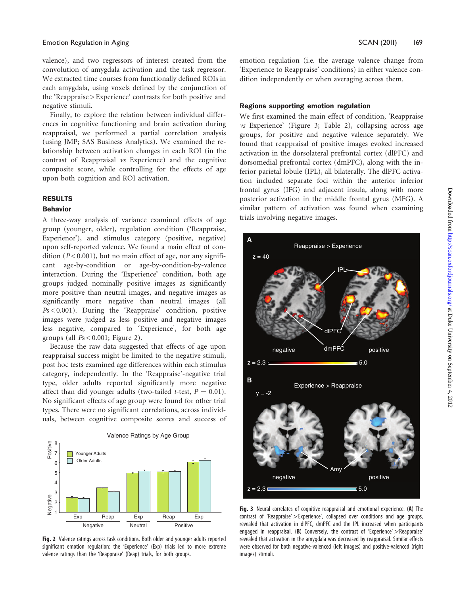valence), and two regressors of interest created from the convolution of amygdala activation and the task regressor. We extracted time courses from functionally defined ROIs in each amygdala, using voxels defined by the conjunction of the 'Reappraise > Experience' contrasts for both positive and negative stimuli.

Finally, to explore the relation between individual differences in cognitive functioning and brain activation during reappraisal, we performed a partial correlation analysis (using JMP; SAS Business Analytics). We examined the relationship between activation changes in each ROI (in the contrast of Reappraisal vs Experience) and the cognitive composite score, while controlling for the effects of age upon both cognition and ROI activation.

## RESULTS

#### Behavior

A three-way analysis of variance examined effects of age group (younger, older), regulation condition ('Reappraise, Experience'), and stimulus category (positive, negative) upon self-reported valence. We found a main effect of condition ( $P < 0.001$ ), but no main effect of age, nor any significant age-by-condition or age-by-condition-by-valence interaction. During the 'Experience' condition, both age groups judged nominally positive images as significantly more positive than neutral images, and negative images as significantly more negative than neutral images (all Ps < 0.001). During the 'Reappraise' condition, positive images were judged as less positive and negative images less negative, compared to 'Experience', for both age groups (all  $Ps < 0.001$ ; Figure 2).

Because the raw data suggested that effects of age upon reappraisal success might be limited to the negative stimuli, post hoc tests examined age differences within each stimulus category, independently. In the 'Reappraise'-negative trial type, older adults reported significantly more negative affect than did younger adults (two-tailed *t*-test,  $P = 0.01$ ). No significant effects of age group were found for other trial types. There were no significant correlations, across individuals, between cognitive composite scores and success of



Fig. 2 Valence ratings across task conditions. Both older and younger adults reported significant emotion regulation: the 'Experience' (Exp) trials led to more extreme valence ratings than the 'Reappraise' (Reap) trials, for both groups.

emotion regulation (i.e. the average valence change from 'Experience to Reappraise' conditions) in either valence condition independently or when averaging across them.

## Regions supporting emotion regulation

We first examined the main effect of condition, 'Reappraise vs Experience' (Figure 3; Table 2), collapsing across age groups, for positive and negative valence separately. We found that reappraisal of positive images evoked increased activation in the dorsolateral prefrontal cortex (dlPFC) and dorsomedial prefrontal cortex (dmPFC), along with the inferior parietal lobule (IPL), all bilaterally. The dlPFC activation included separate foci within the anterior inferior frontal gyrus (IFG) and adjacent insula, along with more posterior activation in the middle frontal gyrus (MFG). A similar pattern of activation was found when examining trials involving negative images.



Fig. 3 Neural correlates of cognitive reappraisal and emotional experience. (A) The contrast of 'Reappraise' >'Experience', collapsed over conditions and age groups, revealed that activation in dlPFC, dmPFC and the IPL increased when participants engaged in reappraisal. (B) Conversely, the contrast of 'Experience' > Reappraise' revealed that activation in the amygdala was decreased by reappraisal. Similar effects were observed for both negative-valenced (left images) and positive-valenced (right images) stimuli.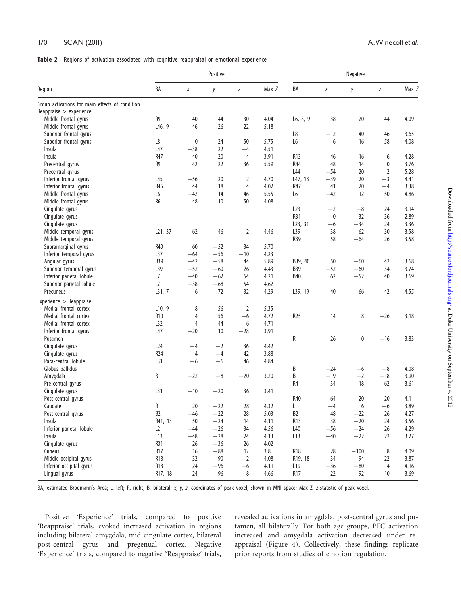## 170 SCAN (2011) A. Winecoff et al.

#### Table 2 Regions of activation associated with cognitive reappraisal or emotional experience

| Region                                          | Positive        |                |       |                  | Negative |                |        |         |                  |       |
|-------------------------------------------------|-----------------|----------------|-------|------------------|----------|----------------|--------|---------|------------------|-------|
|                                                 | BA              | $\chi$         | у     | $\boldsymbol{Z}$ | Max Z    | BA             | $\chi$ | у       | $\boldsymbol{Z}$ | Max Z |
| Group activations for main effects of condition |                 |                |       |                  |          |                |        |         |                  |       |
| Reappraise > experience                         |                 |                |       |                  |          |                |        |         |                  |       |
| Middle frontal gyrus                            | R9              | 40             | 44    | 30               | 4.04     | L6, 8, 9       | 38     | 20      | 44               | 4.09  |
| Middle frontal gyrus                            | L46, 9          | $-46$          | 26    | 22               | 5.18     |                |        |         |                  |       |
| Superior frontal gyrus                          |                 |                |       |                  |          | L8             | $-12$  | 40      | 46               | 3.65  |
| Superior frontal gyrus                          | L8              | $\bf{0}$       | 24    | 50               | 5.75     | L6             | $-6$   | 16      | 58               | 4.08  |
| Insula                                          | L47             | $-38$          | 22    | $-4$             | 4.51     |                |        |         |                  |       |
| Insula                                          | R47             | 40             | 20    | $-4$             | 3.91     | <b>R13</b>     | 46     | 16      | 6                | 4.28  |
| Precentral gyrus                                | R <sub>9</sub>  | 42             | 22    | 36               | 5.59     | <b>R44</b>     | 48     | 14      | 0                | 3.76  |
| Precentral gyrus                                |                 |                |       |                  |          | L44            | $-54$  | 20      | 2                | 5.28  |
| Inferior frontal gyrus                          | L45             | $-56$          | 20    | $\overline{2}$   | 4.70     | L47, 13        | $-39$  | 20      | $-3$             | 4.41  |
| Inferior frontal gyrus                          | <b>R45</b>      | 44             | 18    | 4                | 4.02     | <b>R47</b>     | 41     | 20      | $-4$             | 3.38  |
| Middle frontal gyrus                            | L6              | $-42$          | 14    | 46               | 5.55     | L6             | $-42$  | 12      | 50               | 4.86  |
| Middle frontal gyrus                            | R <sub>6</sub>  | 48             | 10    | 50               | 4.08     |                |        |         |                  |       |
| Cingulate gyrus                                 |                 |                |       |                  |          | L23            | $-2$   | $-8$    | 24               | 3.14  |
| Cingulate gyrus                                 |                 |                |       |                  |          | <b>R31</b>     | 0      | $-32$   | 36               | 2.89  |
| Cingulate gyrus                                 |                 |                |       |                  |          | L23, 31        | $-6$   | $-34$   | 24               | 3.36  |
| Middle temporal gyrus                           | L21, 37         | $-62$          | $-46$ | $-2$             | 4.46     | L39            | $-38$  | $-62$   | 30               | 3.58  |
| Middle temporal gyrus                           |                 |                |       |                  |          | <b>R39</b>     | 58     | $-64$   | 26               | 3.58  |
| Supramarginal gyrus                             | R40             | 60             | $-52$ | 34               | 5.70     |                |        |         |                  |       |
| Inferior temporal gyrus                         | L37             | $-64$          | $-56$ | $-10$            | 4.23     |                |        |         |                  |       |
| Angular gyrus                                   | <b>B39</b>      | $-42$          | $-58$ | 44               | 5.89     | B39, 40        | 50     | $-60$   | 42               | 3.68  |
| Superior temporal gyrus                         | L39             | $-52$          | $-60$ | 26               | 4.43     | <b>B39</b>     | $-52$  | $-60$   | 34               | 3.74  |
| Inferior parietal lobule                        | L7              | $-40$          | $-62$ | 54               | 4.21     | <b>B40</b>     | 62     | $-52$   | 40               | 3.69  |
| Superior parietal lobule                        | L7              | $-38$          | $-68$ | 54               | 4.62     |                |        |         |                  |       |
| Precuneus                                       | L31, 7          | $-6$           | $-72$ | 32               | 4.29     | L39, 19        | $-40$  | $-66$   | 42               | 4.55  |
|                                                 |                 |                |       |                  |          |                |        |         |                  |       |
| Experience > Reappraise                         |                 |                |       |                  |          |                |        |         |                  |       |
| Medial frontal cortex                           | L10, 9          | $-8$           | 56    | 2                | 5.35     |                |        |         |                  |       |
| Medial frontal cortex                           | R <sub>10</sub> | 4              | 56    | $-6$             | 4.72     | <b>R25</b>     | 14     | 8       | $-26$            | 3.18  |
| Medial frontal cortex                           | L32             | $-4$           | 44    | $-6$             | 4.71     |                |        |         |                  |       |
| Inferior frontal gyrus                          | L47             | $-20$          | 10    | $-28$            | 3.91     |                |        |         |                  |       |
| Putamen                                         |                 |                |       |                  |          | R              | 26     | 0       | $-16$            | 3.83  |
| Cingulate gyrus                                 | L <sub>24</sub> | $-4$           | $-2$  | 36               | 4.42     |                |        |         |                  |       |
| Cingulate gyrus                                 | R <sub>24</sub> | $\overline{4}$ | $-4$  | 42               | 3.88     |                |        |         |                  |       |
| Para-central lobule                             | L31             | $-6$           | $-6$  | 46               | 4.84     |                |        |         |                  |       |
| Globus pallidus                                 |                 |                |       |                  |          | B              | $-24$  | $-6$    | $-8$             | 4.08  |
| Amygdala                                        | B               | $-22$          | $-8$  | $-20$            | 3.20     | B              | $-19$  | $-2$    | $-18$            | 3.90  |
| Pre-central gyrus                               |                 |                |       |                  |          | R <sub>4</sub> | 34     | $-18$   | 62               | 3.61  |
| Cingulate gyrus                                 | L31             | $-10$          | $-20$ | 36               | 3.41     |                |        |         |                  |       |
| Post-central gyrus                              |                 |                |       |                  |          | R40            | $-64$  | $-20$   | 20               | 4.1   |
| Caudate                                         | R               | $20\,$         | $-22$ | 28               | 4.32     | L              | -4     | 6       | $-6$             | 3.89  |
| Post-central gyrus                              | B <sub>2</sub>  | $-46$          | $-22$ | 28               | 5.03     | B <sub>2</sub> | 48     | $-22$   | 26               | 4.27  |
| Insula                                          | R41, 13         | 50             | $-24$ | 14               | 4.11     | R13            | 38     | $-20$   | 24               | 3.56  |
| Inferior parietal lobule                        | L <sub>2</sub>  | $-44$          | $-26$ | 34               | 4.56     | L40            | $-56$  | $-24$   | 26               | 4.29  |
| Insula                                          | L13             | $-48$          | $-28$ | 24               | 4.13     | L13            | $-40$  | $-22$   | 22               | 3.27  |
| Cingulate gyrus                                 | <b>R31</b>      | 26             | $-36$ | 26               | 4.02     |                |        |         |                  |       |
| Cuneus                                          | <b>R17</b>      | 16             | $-88$ | 12               | 3.8      | <b>R18</b>     | 28     | $-100$  | 8                | 4.09  |
| Middle occipital gyrus                          | <b>R18</b>      | 32             | $-90$ | $\overline{2}$   | 4.08     | R19, 18        | 34     | $-94$   | 22               | 3.87  |
| Inferior occipital gyrus                        | <b>R18</b>      | 24             | $-96$ | $-6$             | 4.11     | L19            | $-36$  | $-80\,$ | 4                | 4.16  |
| Lingual gyrus                                   | R17, 18         | 24             | $-96$ | 8                | 4.66     | <b>R17</b>     | 22     | $-92$   | 10               | 3.69  |

BA, estimated Brodmann's Area; L, left; R, right; B, bilateral; x, y, z, coordinates of peak voxel, shown in MNI space; Max Z, z-statistic of peak voxel.

Positive 'Experience' trials, compared to positive 'Reappraise' trials, evoked increased activation in regions including bilateral amygdala, mid-cingulate cortex, bilateral post-central gyrus and pregenual cortex. Negative 'Experience' trials, compared to negative 'Reappraise' trials,

revealed activations in amygdala, post-central gyrus and putamen, all bilaterally. For both age groups, PFC activation increased and amygdala activation decreased under reappraisal (Figure 4). Collectively, these findings replicate prior reports from studies of emotion regulation.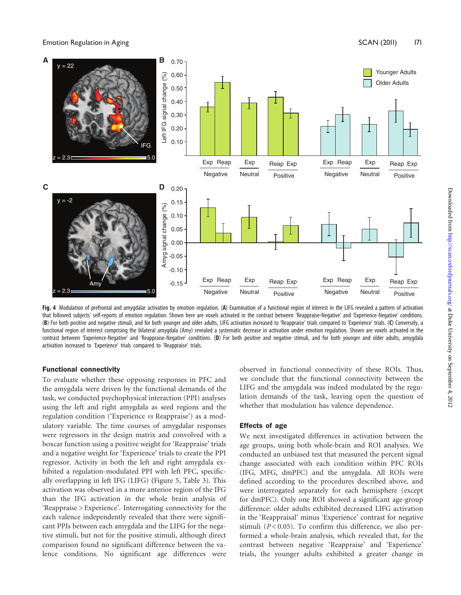Emotion Regulation in Aging SCAN (2011) 171



Fig. 4 Modulation of prefrontal and amygdalar activation by emotion regulation. (A) Examination of a functional region of interest in the LIFG revealed a pattern of activation that followed subjects' self-reports of emotion regulation. Shown here are voxels activated in the contrast between 'Reappraise-Negative' and 'Experience-Negative' conditions. (B) For both positive and negative stimuli, and for both younger and older adults, LIFG activation increased to 'Reappraise' trials compared to 'Experience' trials. (C) Conversely, a functional region of interest comprising the bilateral amygdala (Amy) revealed a systematic decrease in activation under emotion regulation. Shown are voxels activated in the contrast between 'Experience-Negative' and 'Reappraise-Negative' conditions. (D) For both positive and negative stimuli, and for both younger and older adults, amygdala activation increased to 'Experience' trials compared to 'Reappraise' trials.

## Functional connectivity

To evaluate whether these opposing responses in PFC and the amygdala were driven by the functional demands of the task, we conducted psychophysical interaction (PPI) analyses using the left and right amygdala as seed regions and the regulation condition ('Experience vs Reappraise') as a modulatory variable. The time courses of amygdalar responses were regressors in the design matrix and convolved with a boxcar function using a positive weight for 'Reappraise' trials and a negative weight for 'Experience' trials to create the PPI regressor. Activity in both the left and right amygdala exhibited a regulation-modulated PPI with left PFC, specifically overlapping in left IFG (LIFG) (Figure 5, Table 3). This activation was observed in a more anterior region of the IFG than the IFG activation in the whole brain analysis of 'Reappraise > Experience'. Interrogating connectivity for the each valence independently revealed that there were significant PPIs between each amygdala and the LIFG for the negative stimuli, but not for the positive stimuli, although direct comparison found no significant difference between the valence conditions. No significant age differences were

observed in functional connectivity of these ROIs. Thus, we conclude that the functional connectivity between the LIFG and the amygdala was indeed modulated by the regulation demands of the task, leaving open the question of whether that modulation has valence dependence.

## Effects of age

We next investigated differences in activation between the age groups, using both whole-brain and ROI analyses. We conducted an unbiased test that measured the percent signal change associated with each condition within PFC ROIs (IFG, MFG, dmPFC) and the amygdala. All ROIs were defined according to the procedures described above, and were interrogated separately for each hemisphere (except for dmPFC). Only one ROI showed a significant age-group difference: older adults exhibited decreased LIFG activation in the 'Reappraisal' minus 'Experience' contrast for negative stimuli ( $P < 0.05$ ). To confirm this difference, we also performed a whole-brain analysis, which revealed that, for the contrast between negative 'Reappraise' and 'Experience' trials, the younger adults exhibited a greater change in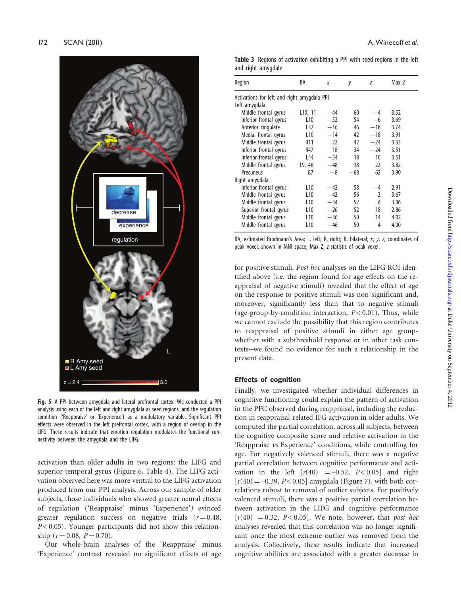

Fig. 5 A PPI between amygdala and lateral prefrontal cortex. We conducted a PPI analysis using each of the left and right amygdala as seed regions, and the regulation condition ('Reappraise' or 'Experience') as a modulatory variable. Significant PPI effects were observed in the left prefrontal cortex, with a region of overlap in the LIFG. These results indicate that emotion regulation modulates the functional connectivity between the amygdala and the LIFG.

activation than older adults in two regions: the LIFG and superior temporal gyrus (Figure 6, Table 4). The LIFG activation observed here was more ventral to the LIFG activation produced from our PPI analysis. Across our sample of older subjects, those individuals who showed greater neural effects of regulation ('Reappraise' minus 'Experience') evinced greater regulation success on negative trials  $(r=0.48,$  $P < 0.05$ ). Younger participants did not show this relationship  $(r = 0.08, P = 0.70)$ .

Our whole-brain analyses of the 'Reappraise' minus 'Experience' contrast revealed no significant effects of age

Table 3 Regions of activation exhibiting a PPI with seed regions in the left and right amygdale

| Region                                      | BA                   | X     | у     | Z             | Max Z |  |  |  |
|---------------------------------------------|----------------------|-------|-------|---------------|-------|--|--|--|
| Activations for left and right amygdala PPI |                      |       |       |               |       |  |  |  |
| Left amygdala                               |                      |       |       |               |       |  |  |  |
| Middle frontal gyrus                        | L <sub>10</sub> , 11 | $-44$ | 60    | $-4$          | 3.52  |  |  |  |
| Inferior frontal gyrus                      | L <sub>10</sub>      | $-52$ | 54    | $-6$          | 3.69  |  |  |  |
| Anterior cingulate                          | 32                   | $-16$ | 46    | $-18$         | 3.74  |  |  |  |
| Medial frontal gyrus                        | L <sub>10</sub>      | $-14$ | 42    | $-18$         | 3.91  |  |  |  |
| Middle frontal gyrus                        | R <sub>11</sub>      | 22    | 42    | $-24$         | 3.33  |  |  |  |
| Inferior frontal gyrus                      | R47                  | 18    | 34    | $-24$         | 3.51  |  |  |  |
| Inferior frontal gyrus                      | L44                  | $-54$ | 18    | 10            | 3.51  |  |  |  |
| Middle frontal gyrus                        | L9,46                | $-48$ | 18    | 22            | 3.82  |  |  |  |
| Precuneus                                   | R7                   | $-8$  | $-68$ | 62            | 3.90  |  |  |  |
| Right amygdala                              |                      |       |       |               |       |  |  |  |
| Inferior frontal gyrus                      | L <sub>10</sub>      | $-42$ | 58    | $-4$          | 2.91  |  |  |  |
| Middle frontal gyrus                        | L <sub>10</sub>      | $-42$ | 56    | $\mathfrak z$ | 3.67  |  |  |  |
| Middle frontal gyrus                        | 110                  | $-34$ | 52    | 6             | 3.06  |  |  |  |
| Superior frontal gyrus                      | L <sub>10</sub>      | $-26$ | 52    | 18            | 2.86  |  |  |  |
| Middle frontal gyrus                        | L <sub>10</sub>      | $-36$ | 50    | 14            | 4.02  |  |  |  |
| Middle frontal gyrus                        | L <sub>10</sub>      | $-46$ | 50    | 4             | 4.00  |  |  |  |

BA, estimated Brodmann's Area; L, left; R, right; B, bilateral; x, y, z, coordinates of peak voxel, shown in MNI space; Max Z, z-statistic of peak voxel.

for positive stimuli. Post hoc analyses on the LIFG ROI identified above (i.e. the region found for age effects on the reappraisal of negative stimuli) revealed that the effect of age on the response to positive stimuli was non-significant and, moreover, significantly less than that to negative stimuli (age-group-by-condition interaction,  $P < 0.01$ ). Thus, while we cannot exclude the possibility that this region contributes to reappraisal of positive stimuli in either age groupwhether with a subthreshold response or in other task contexts-we found no evidence for such a relationship in the present data.

#### Effects of cognition

Finally, we investigated whether individual differences in cognitive functioning could explain the pattern of activation in the PFC observed during reappraisal, including the reduction in reappraisal-related IFG activation in older adults. We computed the partial correlation, across all subjects, between the cognitive composite score and relative activation in the 'Reappraise vs Experience' conditions, while controlling for age. For negatively valenced stimuli, there was a negative partial correlation between cognitive performance and activation in the left  $[r(40) = -0.52, P < 0.05]$  and right  $[r(40) = -0.39, P < 0.05]$  amygdala (Figure 7), with both correlations robust to removal of outlier subjects. For positively valenced stimuli, there was a positive partial correlation between activation in the LIFG and cognitive performance  $[r(40) = 0.32, P < 0.05]$ . We note, however, that post hoc analyses revealed that this correlation was no longer significant once the most extreme outlier was removed from the analysis. Collectively, these results indicate that increased cognitive abilities are associated with a greater decrease in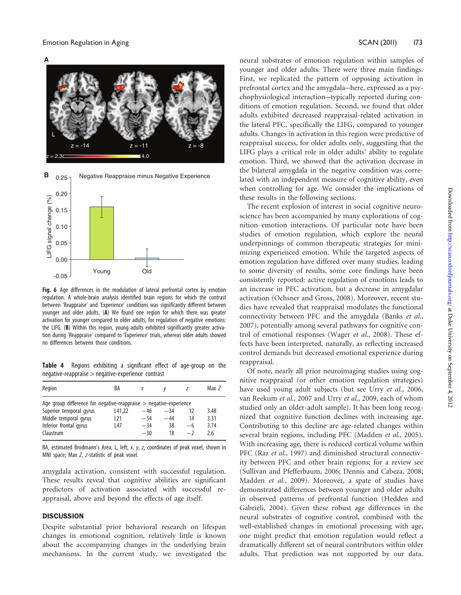## Emotion Regulation in Aging SCAN (2011) 173





Fig. 6 Age differences in the modulation of lateral prefrontal cortex by emotion regulation. A whole-brain analysis identified brain regions for which the contrast between 'Reappraise' and 'Experience' conditions was significantly different between younger and older adults. (A) We found one region for which there was greater activation for younger compared to older adults, for regulation of negative emotions: the LIFG. (B) Within this region, young adults exhibited significantly greater activation during 'Reappraise' compared to 'Experience' trials, whereas older adults showed no differences between those conditions.

Table 4 Regions exhibiting a significant effect of age-group on the negative-reappraise > negative-experience contrast

| Region                                                               | BA     | X     |       |      | Max Z |  |  |  |  |
|----------------------------------------------------------------------|--------|-------|-------|------|-------|--|--|--|--|
| Age group difference for negative-reappraise $>$ negative-experience |        |       |       |      |       |  |  |  |  |
| Superior temporal gyrus                                              | L41,22 | $-46$ | $-34$ | 12   | 3.48  |  |  |  |  |
| Middle temporal gyrus                                                | L21    | $-54$ | $-44$ | 14   | 3.31  |  |  |  |  |
| Inferior frontal gyrus                                               | 147    | $-34$ | 38    | $-6$ | 3.74  |  |  |  |  |
| Claustrum                                                            |        | $-30$ | 18    | $-2$ | 2.6   |  |  |  |  |

BA, estimated Brodmann's Area; L, left; x, y, z, coordinates of peak voxel, shown in MNI space; Max Z, z-statistic of peak voxel.

amygdala activation, consistent with successful regulation. These results reveal that cognitive abilities are significant predictors of activation associated with successful reappraisal, above and beyond the effects of age itself.

## **DISCUSSION**

Despite substantial prior behavioral research on lifespan changes in emotional cognition, relatively little is known about the accompanying changes in the underlying brain mechanisms. In the current study, we investigated the neural substrates of emotion regulation within samples of younger and older adults. There were three main findings. First, we replicated the pattern of opposing activation in prefrontal cortex and the amygdala-here, expressed as a psychophysiological interaction-typically reported during conditions of emotion regulation. Second, we found that older adults exhibited decreased reappraisal-related activation in the lateral PFC, specifically the LIFG, compared to younger adults. Changes in activation in this region were predictive of reappraisal success, for older adults only, suggesting that the LIFG plays a critical role in older adults' ability to regulate emotion. Third, we showed that the activation decrease in the bilateral amygdala in the negative condition was correlated with an independent measure of cognitive ability, even when controlling for age. We consider the implications of these results in the following sections.

The recent explosion of interest in social cognitive neuroscience has been accompanied by many explorations of cognition–emotion interactions. Of particular note have been studies of emotion regulation, which explore the neural underpinnings of common therapeutic strategies for minimizing experienced emotion. While the targeted aspects of emotion regulation have differed over many studies, leading to some diversity of results, some core findings have been consistently reported: active regulation of emotions leads to an increase in PFC activation, but a decrease in amygdalar activation (Ochsner and Gross, 2008). Moreover, recent studies have revealed that reappraisal modulates the functional connectivity between PFC and the amygdala (Banks et al., 2007), potentially among several pathways for cognitive control of emotional responses (Wager et al., 2008). These effects have been interpreted, naturally, as reflecting increased control demands but decreased emotional experience during reappraisal.

Of note, nearly all prior neuroimaging studies using cognitive reappraisal (or other emotion regulation strategies) have used young adult subjects (but see Urry et al., 2006, van Reekum et al., 2007 and Urry et al., 2009, each of whom studied only an older-adult sample). It has been long recognized that cognitive function declines with increasing age. Contributing to this decline are age-related changes within several brain regions, including PFC (Madden et al., 2005). With increasing age, there is reduced cortical volume within PFC (Raz et al., 1997) and diminished structural connectivity between PFC and other brain regions; for a review see (Sullivan and Pfefferbaum, 2006; Dennis and Cabeza, 2008; Madden et al., 2009). Moreover, a spate of studies have demonstrated differences between younger and older adults in observed patterns of prefrontal function (Hedden and Gabrieli, 2004). Given these robust age differences in the neural substrates of cognitive control, combined with the well-established changes in emotional processing with age, one might predict that emotion regulation would reflect a dramatically different set of neural contributors within older adults. That prediction was not supported by our data.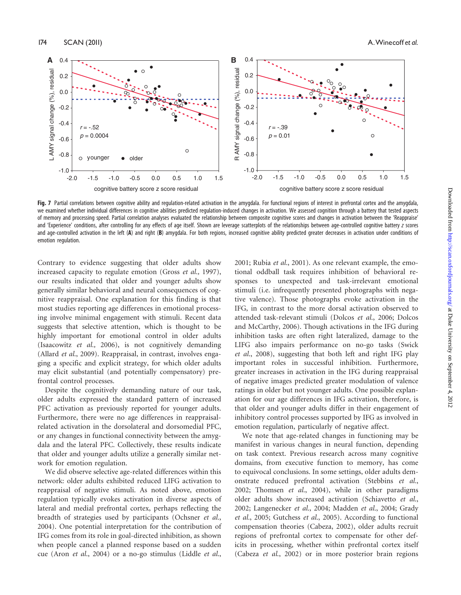

Fig. 7 Partial correlations between cognitive ability and regulation-related activation in the amygdala. For functional regions of interest in prefrontal cortex and the amygdala, we examined whether individual differences in cognitive abilities predicted regulation-induced changes in activation. We assessed cognition through a battery that tested aspects of memory and processing speed. Partial correlation analyses evaluated the relationship between composite cognitive scores and changes in activation between the 'Reappraise' and 'Experience' conditions, after controlling for any effects of age itself. Shown are leverage scatterplots of the relationships between age-controlled cognitive battery z scores and age-controlled activation in the left (A) and right (B) amygdala. For both regions, increased cognitive ability predicted greater decreases in activation under conditions of emotion regulation.

Contrary to evidence suggesting that older adults show increased capacity to regulate emotion (Gross et al., 1997), our results indicated that older and younger adults show generally similar behavioral and neural consequences of cognitive reappraisal. One explanation for this finding is that most studies reporting age differences in emotional processing involve minimal engagement with stimuli. Recent data suggests that selective attention, which is thought to be highly important for emotional control in older adults (Isaacowitz et al., 2006), is not cognitively demanding (Allard et al., 2009). Reappraisal, in contrast, involves engaging a specific and explicit strategy, for which older adults may elicit substantial (and potentially compensatory) prefrontal control processes.

Despite the cognitively demanding nature of our task, older adults expressed the standard pattern of increased PFC activation as previously reported for younger adults. Furthermore, there were no age differences in reappraisalrelated activation in the dorsolateral and dorsomedial PFC, or any changes in functional connectivity between the amygdala and the lateral PFC. Collectively, these results indicate that older and younger adults utilize a generally similar network for emotion regulation.

We did observe selective age-related differences within this network: older adults exhibited reduced LIFG activation to reappraisal of negative stimuli. As noted above, emotion regulation typically evokes activation in diverse aspects of lateral and medial prefrontal cortex, perhaps reflecting the breadth of strategies used by participants (Ochsner et al., 2004). One potential interpretation for the contribution of IFG comes from its role in goal-directed inhibition, as shown when people cancel a planned response based on a sudden cue (Aron et al., 2004) or a no-go stimulus (Liddle et al.,

2001; Rubia et al., 2001). As one relevant example, the emotional oddball task requires inhibition of behavioral responses to unexpected and task-irrelevant emotional stimuli (i.e. infrequently presented photographs with negative valence). Those photographs evoke activation in the IFG, in contrast to the more dorsal activation observed to attended task-relevant stimuli (Dolcos et al., 2006; Dolcos and McCarthy, 2006). Though activations in the IFG during inhibition tasks are often right lateralized, damage to the LIFG also impairs performance on no-go tasks (Swick et al., 2008), suggesting that both left and right IFG play important roles in successful inhibition. Furthermore, greater increases in activation in the IFG during reappraisal of negative images predicted greater modulation of valence ratings in older but not younger adults. One possible explanation for our age differences in IFG activation, therefore, is that older and younger adults differ in their engagement of inhibitory control processes supported by IFG as involved in emotion regulation, particularly of negative affect.

We note that age-related changes in functioning may be manifest in various changes in neural function, depending on task context. Previous research across many cognitive domains, from executive function to memory, has come to equivocal conclusions. In some settings, older adults demonstrate reduced prefrontal activation (Stebbins et al., 2002; Thomsen et al., 2004), while in other paradigms older adults show increased activation (Schiavetto et al., 2002; Langenecker et al., 2004; Madden et al., 2004; Grady et al., 2005; Gutchess et al., 2005). According to functional compensation theories (Cabeza, 2002), older adults recruit regions of prefrontal cortex to compensate for other deficits in processing, whether within prefrontal cortex itself (Cabeza et al., 2002) or in more posterior brain regions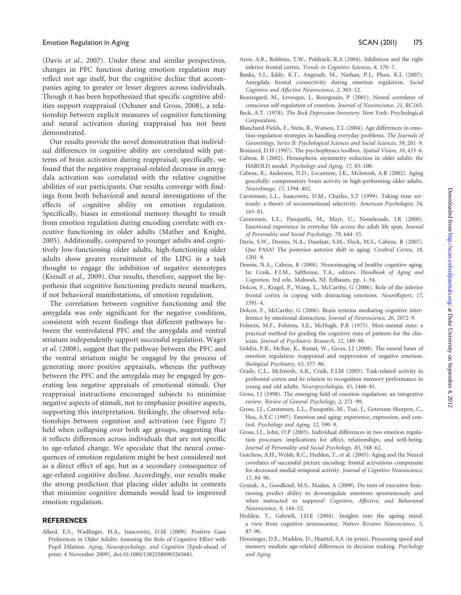(Davis et al., 2007). Under these and similar perspectives, changes in PFC function during emotion regulation may reflect not age itself, but the cognitive decline that accompanies aging to greater or lesser degrees across individuals. Though it has been hypothesized that specific cognitive abilities support reappraisal (Ochsner and Gross, 2008), a relationship between explicit measures of cognitive functioning and neural activation during reappraisal has not been demonstrated.

Our results provide the novel demonstration that individual differences in cognitive ability are correlated with patterns of brain activation during reappraisal; specifically, we found that the negative reappraisal-related decrease in amygdala activation was correlated with the relative cognitive abilities of our participants. Our results converge with findings from both behavioral and neural investigations of the effects of cognitive ability on emotion regulation. Specifically, biases in emotional memory thought to result from emotion regulation during encoding correlate with executive functioning in older adults (Mather and Knight, 2005). Additionally, compared to younger adults and cognitively low-functioning older adults, high-functioning older adults show greater recruitment of the LIFG in a task thought to engage the inhibition of negative stereotypes (Krendl et al., 2009). Our results, therefore, support the hypothesis that cognitive functioning predicts neural markers, if not behavioral manifestations, of emotion regulation.

The correlation between cognitive functioning and the amygdala was only significant for the negative condition, consistent with recent findings that different pathways between the ventrolateral PFC and the amygdala and ventral striatum independently support successful regulation. Wager et al. (2008), suggest that the pathway between the PFC and the ventral striatum might be engaged by the process of generating more positive appraisals, whereas the pathway between the PFC and the amygdala may be engaged by generating less negative appraisals of emotional stimuli. Our reappraisal instructions encouraged subjects to minimize negative aspects of stimuli, not to emphasize positive aspects, supporting this interpretation. Strikingly, the observed relationships between cognition and activation (see Figure 7) held when collapsing over both age groups, suggesting that it reflects differences across individuals that are not specific to age-related change. We speculate that the neural consequences of emotion regulation might be best considered not as a direct effect of age, but as a secondary consequence of age-related cognitive decline. Accordingly, our results make the strong prediction that placing older adults in contexts that minimize cognitive demands would lead to improved emotion regulation.

#### REFERENCES

Allard, E.S., Wadlinger, H.A., Isaacowitz, D.M (2009). Positive Gaze Preferences in Older Adults: Assessing the Role of Cognitive Effort with Pupil Dilation. Aging, Neuropsychology, and Cognition [Epub-ahead of print; 4 November 2009], doi:10.1080/13825580903265681.

- Aron, A.R., Robbins, T.W., Poldrack, R.A (2004). Inhibition and the right inferior frontal cortex. Trends in Cognitive Sciences, 8, 170–7.
- Banks, S.J., Eddy, K.T., Angstadt, M., Nathan, P.J., Phan, K.L (2007). Amygdala frontal connectivity during emotion regulation. Social Cognitive and Affective Neuroscience, 2, 303–12.
- Beauregard, M., Levesque, J., Bourgouin, P (2001). Neural correlates of conscious self-regulation of emotion. Journal of Neuroscience, 21, RC165.
- Beck, A.T. (1978). The Beck Depression Inventory. New York: Psychological Corporation.
- Blanchard-Fields, F., Stein, R., Watson, T.L (2004). Age differences in emotion-regulation strategies in handling everyday problems. The Journals of Gerontology, Series B: Psychological Sciences and Social Sciences, 59, 261–9.
- Brainard, D.H (1997). The psychophysics toolbox. Spatial Vision, 10, 433–6. Cabeza, R (2002). Hemispheric asymmetry reduction in older adults: the HAROLD model. Psychology and Aging, 17, 85–100.
- Cabeza, R., Anderson, N.D., Locantore, J.K., McIntosh, A.R (2002). Aging gracefully: compensatory brain activity in high-performing older adults. NeuroImage, 17, 1394–402.
- Carstensen, L.L., Isaacowitz, D.M., Charles, S.T (1999). Taking time seriously: a theory of socioemotional selectivity. American Psychologist, 54, 165–81.
- Carstensen, L.L., Pasupathi, M., Mayr, U., Nesselroade, J.R (2000). Emotional experience in everyday life across the adult life span. Journal of Personality and Social Psychology, 79, 644–55.
- Davis, S.W., Dennis, N.A., Daselaar, S.M., Fleck, M.S., Cabeza, R (2007). Que PASA? The posterior anterior shift in aging. Cerebral Cortex, 18, 1201–9.
- Dennis, N.A., Cabeza, R (2008). Neuroimaging of healthy cognitive aging. In: Craik, F.I.M., Salthouse, T.A., editors. Handbook of Aging and Cognition, 3rd edn. Mahwah, NJ: Erlbaum, pp. 1–54.
- Dolcos, F., Kragel, P., Wang, L., McCarthy, G (2006). Role of the inferior frontal cortex in coping with distracting emotions. NeuroReport, 17, 1591–4.
- Dolcos, F., McCarthy, G (2006). Brain systems mediating cognitive interference by emotional distraction. Journal of Neuroscience, 26, 2072–9.
- Folstein, M.F., Folstein, S.E., McHugh, P.R (1975). Mini-mental state: a practical method for grading the cognitive state of patients for the clinician. Journal of Psychiatric Research, 12, 189–98.
- Goldin, P.R., McRae, K., Ramel, W., Gross, J.J (2008). The neural bases of emotion regulation: reappraisal and suppression of negative emotion. Biological Psychiatry, 63, 577–86.
- Grady, C.L., McIntosh, A.R., Craik, F.I.M (2005). Task-related activity in prefrontal cortex and its relation to recognition memory performance in young and old adults. Neuropsychologia, 43, 1466–81.
- Gross, J.J (1998). The emerging field of emotion regulation: an integrative review. Review of General Psychology, 2, 271–99.
- Gross, J.J., Carstensen, L.L., Pasupathi, M., Tsai, J., Gotestam Skorpen, C., Hsu, A.Y.C (1997). Emotion and aging: experience, expression, and control. Psychology and Aging, 12, 590–9.
- Gross, J.J., John, O.P (2003). Individual differences in two emotion regulation processes: implications for affect, relationships, and well-being. Journal of Personality and Social Psychology, 85, 348–62.
- Gutchess, A.H., Welsh, R.C., Hedden, T., et al. (2005). Aging and the Neural correlates of successful picture encoding: frontal activations compensate for decreased medial-temporal activity. Journal of Cognitive Neuroscience, 17, 84–96.
- Gyurak, A., Goodkind, M.S., Madan, A (2009). Do tests of executive functioning predict ability to downregulate emotions spontaneously and when instructed to suppress? Cognitive, Affective, and Behavioral Neuroscience, 9, 144–52.
- Hedden, T., Gabrieli, J.D.E (2004). Insights into the ageing mind: a view from cognitive neuroscience. Nature Reviews Neuroscience, 5, 87–96.
- Henninger, D.E., Madden, D., Huettel, S.A (in press). Processing speed and memory mediate age-related differences in decision making. Psychology and Aging.